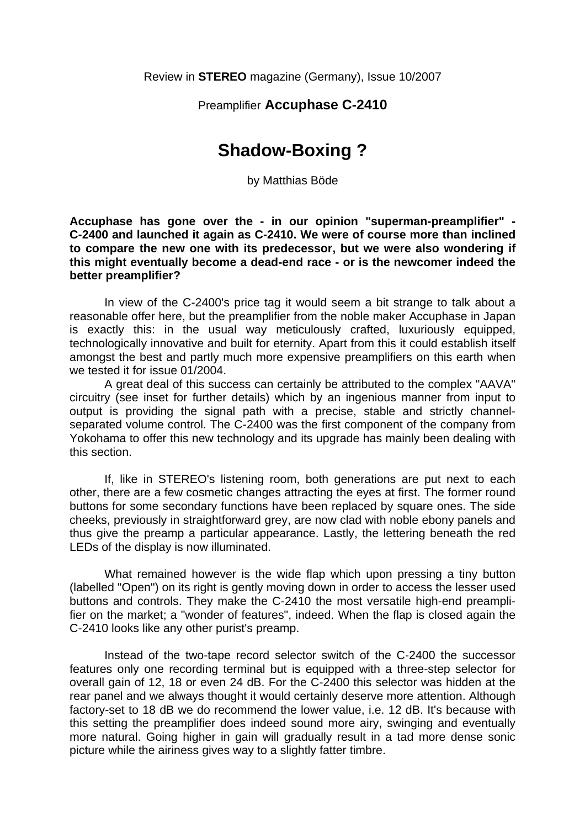#### Preamplifier **Accuphase C-2410**

# **Shadow-Boxing ?**

by Matthias Böde

**Accuphase has gone over the - in our opinion "superman-preamplifier" - C-2400 and launched it again as C-2410. We were of course more than inclined to compare the new one with its predecessor, but we were also wondering if this might eventually become a dead-end race - or is the newcomer indeed the better preamplifier?** 

 In view of the C-2400's price tag it would seem a bit strange to talk about a reasonable offer here, but the preamplifier from the noble maker Accuphase in Japan is exactly this: in the usual way meticulously crafted, luxuriously equipped, technologically innovative and built for eternity. Apart from this it could establish itself amongst the best and partly much more expensive preamplifiers on this earth when we tested it for issue 01/2004.

 A great deal of this success can certainly be attributed to the complex "AAVA" circuitry (see inset for further details) which by an ingenious manner from input to output is providing the signal path with a precise, stable and strictly channelseparated volume control. The C-2400 was the first component of the company from Yokohama to offer this new technology and its upgrade has mainly been dealing with this section.

 If, like in STEREO's listening room, both generations are put next to each other, there are a few cosmetic changes attracting the eyes at first. The former round buttons for some secondary functions have been replaced by square ones. The side cheeks, previously in straightforward grey, are now clad with noble ebony panels and thus give the preamp a particular appearance. Lastly, the lettering beneath the red LEDs of the display is now illuminated.

 What remained however is the wide flap which upon pressing a tiny button (labelled "Open") on its right is gently moving down in order to access the lesser used buttons and controls. They make the C-2410 the most versatile high-end preamplifier on the market; a "wonder of features", indeed. When the flap is closed again the C-2410 looks like any other purist's preamp.

 Instead of the two-tape record selector switch of the C-2400 the successor features only one recording terminal but is equipped with a three-step selector for overall gain of 12, 18 or even 24 dB. For the C-2400 this selector was hidden at the rear panel and we always thought it would certainly deserve more attention. Although factory-set to 18 dB we do recommend the lower value, i.e. 12 dB. It's because with this setting the preamplifier does indeed sound more airy, swinging and eventually more natural. Going higher in gain will gradually result in a tad more dense sonic picture while the airiness gives way to a slightly fatter timbre.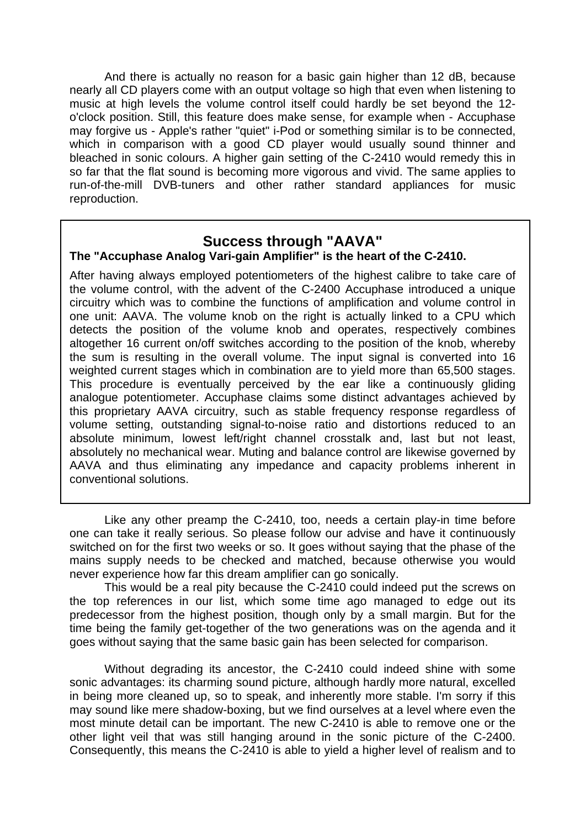And there is actually no reason for a basic gain higher than 12 dB, because nearly all CD players come with an output voltage so high that even when listening to music at high levels the volume control itself could hardly be set beyond the 12 o'clock position. Still, this feature does make sense, for example when - Accuphase may forgive us - Apple's rather "quiet" i-Pod or something similar is to be connected, which in comparison with a good CD player would usually sound thinner and bleached in sonic colours. A higher gain setting of the C-2410 would remedy this in so far that the flat sound is becoming more vigorous and vivid. The same applies to run-of-the-mill DVB-tuners and other rather standard appliances for music reproduction.

### **Success through "AAVA"**

#### **The "Accuphase Analog Vari-gain Amplifier" is the heart of the C-2410.**

After having always employed potentiometers of the highest calibre to take care of the volume control, with the advent of the C-2400 Accuphase introduced a unique circuitry which was to combine the functions of amplification and volume control in one unit: AAVA. The volume knob on the right is actually linked to a CPU which detects the position of the volume knob and operates, respectively combines altogether 16 current on/off switches according to the position of the knob, whereby the sum is resulting in the overall volume. The input signal is converted into 16 weighted current stages which in combination are to yield more than 65,500 stages. This procedure is eventually perceived by the ear like a continuously gliding analogue potentiometer. Accuphase claims some distinct advantages achieved by this proprietary AAVA circuitry, such as stable frequency response regardless of volume setting, outstanding signal-to-noise ratio and distortions reduced to an absolute minimum, lowest left/right channel crosstalk and, last but not least, absolutely no mechanical wear. Muting and balance control are likewise governed by AAVA and thus eliminating any impedance and capacity problems inherent in conventional solutions.

 Like any other preamp the C-2410, too, needs a certain play-in time before one can take it really serious. So please follow our advise and have it continuously switched on for the first two weeks or so. It goes without saying that the phase of the mains supply needs to be checked and matched, because otherwise you would never experience how far this dream amplifier can go sonically.

 This would be a real pity because the C-2410 could indeed put the screws on the top references in our list, which some time ago managed to edge out its predecessor from the highest position, though only by a small margin. But for the time being the family get-together of the two generations was on the agenda and it goes without saying that the same basic gain has been selected for comparison.

 Without degrading its ancestor, the C-2410 could indeed shine with some sonic advantages: its charming sound picture, although hardly more natural, excelled in being more cleaned up, so to speak, and inherently more stable. I'm sorry if this may sound like mere shadow-boxing, but we find ourselves at a level where even the most minute detail can be important. The new C-2410 is able to remove one or the other light veil that was still hanging around in the sonic picture of the C-2400. Consequently, this means the C-2410 is able to yield a higher level of realism and to